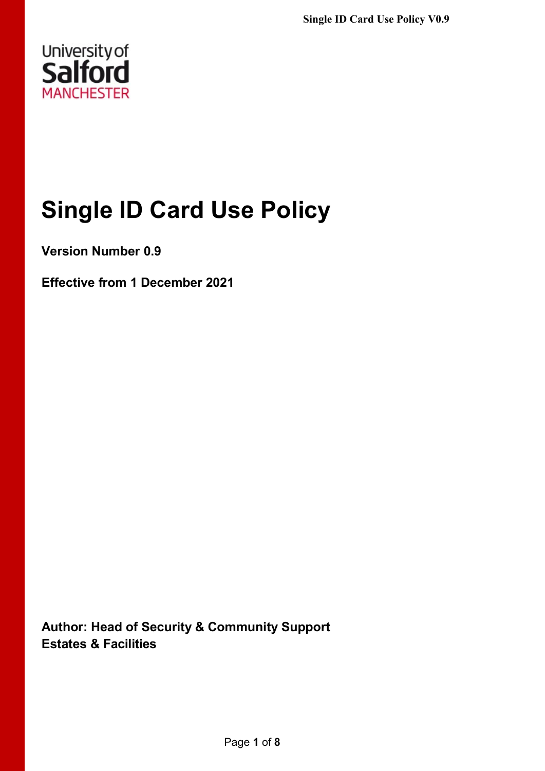

# **Single ID Card Use Policy**

**Version Number 0.9**

**Effective from 1 December 2021**

**Author: Head of Security & Community Support Estates & Facilities**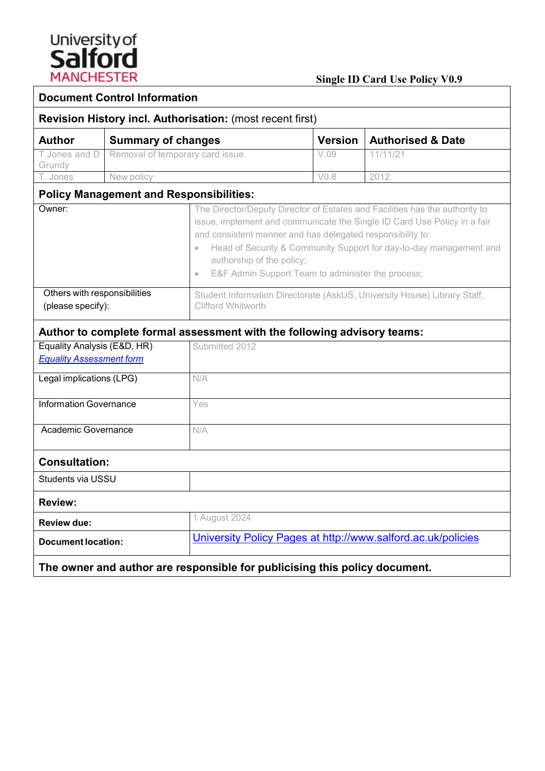

| <b>Document Control Information</b>                                        |                                  |                                                                                                                                                                                                                                                                                                                                                                                                         |                  |                              |  |
|----------------------------------------------------------------------------|----------------------------------|---------------------------------------------------------------------------------------------------------------------------------------------------------------------------------------------------------------------------------------------------------------------------------------------------------------------------------------------------------------------------------------------------------|------------------|------------------------------|--|
| <b>Revision History incl. Authorisation: (most recent first)</b>           |                                  |                                                                                                                                                                                                                                                                                                                                                                                                         |                  |                              |  |
| <b>Author</b>                                                              | <b>Summary of changes</b>        |                                                                                                                                                                                                                                                                                                                                                                                                         | <b>Version</b>   | <b>Authorised &amp; Date</b> |  |
| T.Jones and D<br>Grundy                                                    | Removal of temporary card issue. |                                                                                                                                                                                                                                                                                                                                                                                                         | V.09             | 11/11/21                     |  |
| $\overline{\mathsf{T}}$ . Jones                                            | New policy                       |                                                                                                                                                                                                                                                                                                                                                                                                         | V <sub>0.8</sub> | 2012                         |  |
| <b>Policy Management and Responsibilities:</b>                             |                                  |                                                                                                                                                                                                                                                                                                                                                                                                         |                  |                              |  |
| Owner:                                                                     |                                  | The Director/Deputy Director of Estates and Facilities has the authority to<br>issue, implement and communicate the Single ID Card Use Policy in a fair<br>and consistent manner and has delegated responsibility to:<br>Head of Security & Community Support for day-to-day management and<br>$\bullet$<br>authorship of the policy;<br>E&F Admin Support Team to administer the process;<br>$\bullet$ |                  |                              |  |
| Others with responsibilities<br>(please specify):                          |                                  | Student Information Directorate (AskUS, University House) Library Staff,<br><b>Clifford Whitworth</b>                                                                                                                                                                                                                                                                                                   |                  |                              |  |
|                                                                            |                                  | Author to complete formal assessment with the following advisory teams:                                                                                                                                                                                                                                                                                                                                 |                  |                              |  |
| Equality Analysis (E&D, HR)                                                |                                  | Submitted 2012                                                                                                                                                                                                                                                                                                                                                                                          |                  |                              |  |
| <b>Equality Assessment form</b>                                            |                                  |                                                                                                                                                                                                                                                                                                                                                                                                         |                  |                              |  |
| Legal implications (LPG)                                                   |                                  | N/A                                                                                                                                                                                                                                                                                                                                                                                                     |                  |                              |  |
| <b>Information Governance</b>                                              |                                  | Yes                                                                                                                                                                                                                                                                                                                                                                                                     |                  |                              |  |
| Academic Governance                                                        |                                  | N/A                                                                                                                                                                                                                                                                                                                                                                                                     |                  |                              |  |
| <b>Consultation:</b>                                                       |                                  |                                                                                                                                                                                                                                                                                                                                                                                                         |                  |                              |  |
| Students via USSU                                                          |                                  |                                                                                                                                                                                                                                                                                                                                                                                                         |                  |                              |  |
| <b>Review:</b>                                                             |                                  |                                                                                                                                                                                                                                                                                                                                                                                                         |                  |                              |  |
| <b>Review due:</b>                                                         |                                  | 1 August 2024                                                                                                                                                                                                                                                                                                                                                                                           |                  |                              |  |
| <b>Document location:</b>                                                  |                                  | University Policy Pages at http://www.salford.ac.uk/policies                                                                                                                                                                                                                                                                                                                                            |                  |                              |  |
| The owner and author are responsible for publicising this policy document. |                                  |                                                                                                                                                                                                                                                                                                                                                                                                         |                  |                              |  |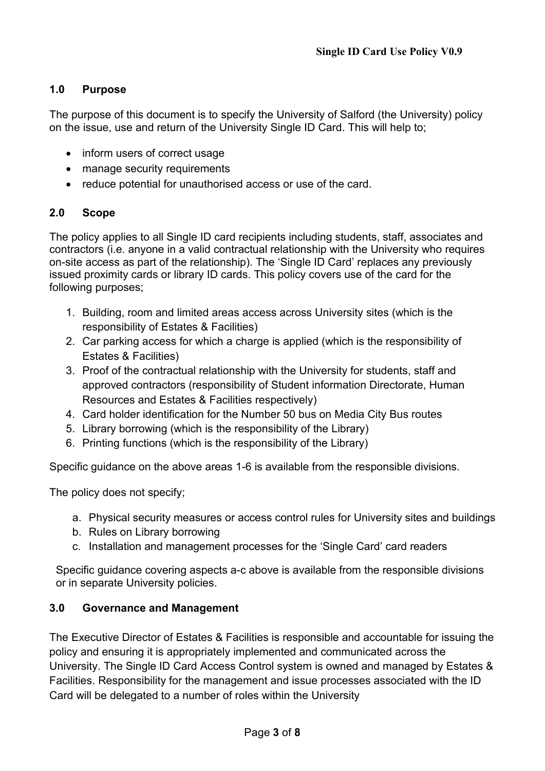# **1.0 Purpose**

The purpose of this document is to specify the University of Salford (the University) policy on the issue, use and return of the University Single ID Card. This will help to;

- inform users of correct usage
- manage security requirements
- reduce potential for unauthorised access or use of the card.

#### **2.0 Scope**

The policy applies to all Single ID card recipients including students, staff, associates and contractors (i.e. anyone in a valid contractual relationship with the University who requires on-site access as part of the relationship). The 'Single ID Card' replaces any previously issued proximity cards or library ID cards. This policy covers use of the card for the following purposes;

- 1. Building, room and limited areas access across University sites (which is the responsibility of Estates & Facilities)
- 2. Car parking access for which a charge is applied (which is the responsibility of Estates & Facilities)
- 3. Proof of the contractual relationship with the University for students, staff and approved contractors (responsibility of Student information Directorate, Human Resources and Estates & Facilities respectively)
- 4. Card holder identification for the Number 50 bus on Media City Bus routes
- 5. Library borrowing (which is the responsibility of the Library)
- 6. Printing functions (which is the responsibility of the Library)

Specific guidance on the above areas 1-6 is available from the responsible divisions.

The policy does not specify;

- a. Physical security measures or access control rules for University sites and buildings
- b. Rules on Library borrowing
- c. Installation and management processes for the 'Single Card' card readers

Specific guidance covering aspects a-c above is available from the responsible divisions or in separate University policies.

#### **3.0 Governance and Management**

The Executive Director of Estates & Facilities is responsible and accountable for issuing the policy and ensuring it is appropriately implemented and communicated across the University. The Single ID Card Access Control system is owned and managed by Estates & Facilities. Responsibility for the management and issue processes associated with the ID Card will be delegated to a number of roles within the University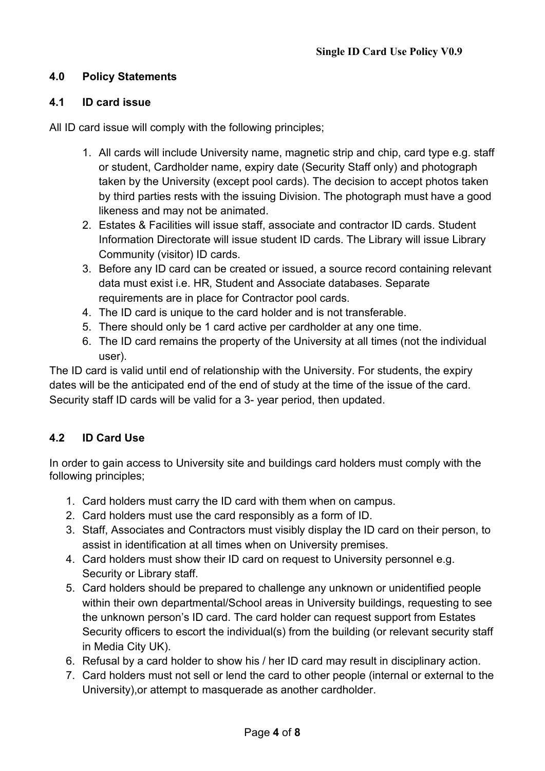# **4.0 Policy Statements**

#### **4.1 ID card issue**

All ID card issue will comply with the following principles;

- 1. All cards will include University name, magnetic strip and chip, card type e.g. staff or student, Cardholder name, expiry date (Security Staff only) and photograph taken by the University (except pool cards). The decision to accept photos taken by third parties rests with the issuing Division. The photograph must have a good likeness and may not be animated.
- 2. Estates & Facilities will issue staff, associate and contractor ID cards. Student Information Directorate will issue student ID cards. The Library will issue Library Community (visitor) ID cards.
- 3. Before any ID card can be created or issued, a source record containing relevant data must exist i.e. HR, Student and Associate databases. Separate requirements are in place for Contractor pool cards.
- 4. The ID card is unique to the card holder and is not transferable.
- 5. There should only be 1 card active per cardholder at any one time.
- 6. The ID card remains the property of the University at all times (not the individual user).

The ID card is valid until end of relationship with the University. For students, the expiry dates will be the anticipated end of the end of study at the time of the issue of the card. Security staff ID cards will be valid for a 3- year period, then updated.

# **4.2 ID Card Use**

In order to gain access to University site and buildings card holders must comply with the following principles;

- 1. Card holders must carry the ID card with them when on campus.
- 2. Card holders must use the card responsibly as a form of ID.
- 3. Staff, Associates and Contractors must visibly display the ID card on their person, to assist in identification at all times when on University premises.
- 4. Card holders must show their ID card on request to University personnel e.g. Security or Library staff.
- 5. Card holders should be prepared to challenge any unknown or unidentified people within their own departmental/School areas in University buildings, requesting to see the unknown person's ID card. The card holder can request support from Estates Security officers to escort the individual(s) from the building (or relevant security staff in Media City UK).
- 6. Refusal by a card holder to show his / her ID card may result in disciplinary action.
- 7. Card holders must not sell or lend the card to other people (internal or external to the University),or attempt to masquerade as another cardholder.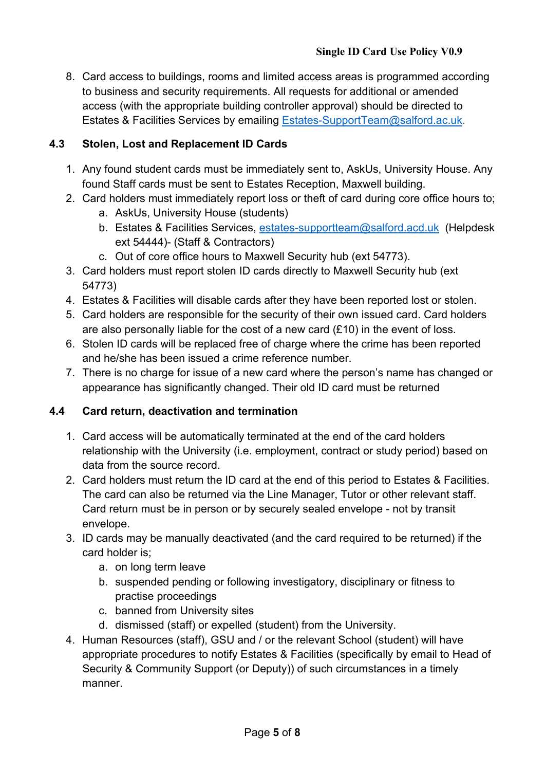8. Card access to buildings, rooms and limited access areas is programmed according to business and security requirements. All requests for additional or amended access (with the appropriate building controller approval) should be directed to Estates & Facilities Services by emailing [Estates-SupportTeam@salford.ac.uk.](mailto:Estates-SupportTeam@salford.ac.uk)

# **4.3 Stolen, Lost and Replacement ID Cards**

- 1. Any found student cards must be immediately sent to, AskUs, University House. Any found Staff cards must be sent to Estates Reception, Maxwell building.
- 2. Card holders must immediately report loss or theft of card during core office hours to;
	- a. AskUs, University House (students)
	- b. Estates & Facilities Services, [estates-supportteam@salford.acd.uk](mailto:estates-supportteam@salford.acd.uk) (Helpdesk ext 54444)- (Staff & Contractors)
	- c. Out of core office hours to Maxwell Security hub (ext 54773).
- 3. Card holders must report stolen ID cards directly to Maxwell Security hub (ext 54773)
- 4. Estates & Facilities will disable cards after they have been reported lost or stolen.
- 5. Card holders are responsible for the security of their own issued card. Card holders are also personally liable for the cost of a new card (£10) in the event of loss.
- 6. Stolen ID cards will be replaced free of charge where the crime has been reported and he/she has been issued a crime reference number.
- 7. There is no charge for issue of a new card where the person's name has changed or appearance has significantly changed. Their old ID card must be returned

# **4.4 Card return, deactivation and termination**

- 1. Card access will be automatically terminated at the end of the card holders relationship with the University (i.e. employment, contract or study period) based on data from the source record.
- 2. Card holders must return the ID card at the end of this period to Estates & Facilities. The card can also be returned via the Line Manager, Tutor or other relevant staff. Card return must be in person or by securely sealed envelope - not by transit envelope.
- 3. ID cards may be manually deactivated (and the card required to be returned) if the card holder is;
	- a. on long term leave
	- b. suspended pending or following investigatory, disciplinary or fitness to practise proceedings
	- c. banned from University sites
	- d. dismissed (staff) or expelled (student) from the University.
- 4. Human Resources (staff), GSU and / or the relevant School (student) will have appropriate procedures to notify Estates & Facilities (specifically by email to Head of Security & Community Support (or Deputy)) of such circumstances in a timely manner.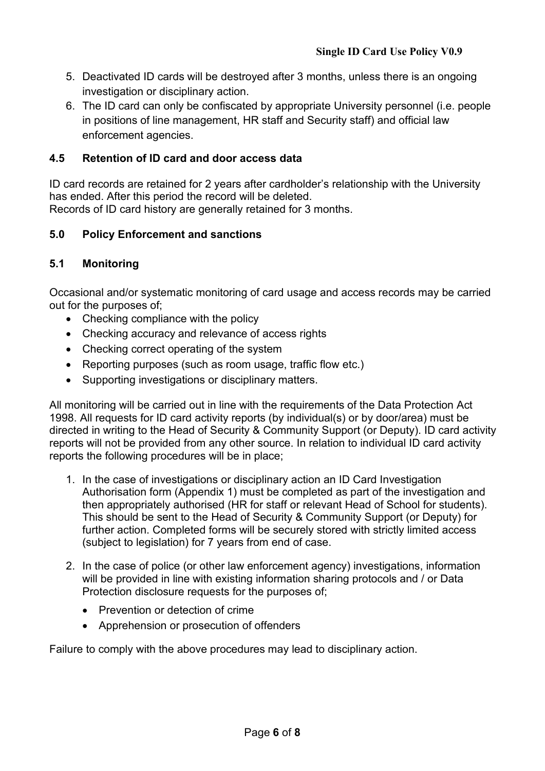- 5. Deactivated ID cards will be destroyed after 3 months, unless there is an ongoing investigation or disciplinary action.
- 6. The ID card can only be confiscated by appropriate University personnel (i.e. people in positions of line management, HR staff and Security staff) and official law enforcement agencies.

# **4.5 Retention of ID card and door access data**

ID card records are retained for 2 years after cardholder's relationship with the University has ended. After this period the record will be deleted. Records of ID card history are generally retained for 3 months.

## **5.0 Policy Enforcement and sanctions**

## **5.1 Monitoring**

Occasional and/or systematic monitoring of card usage and access records may be carried out for the purposes of;

- Checking compliance with the policy
- Checking accuracy and relevance of access rights
- Checking correct operating of the system
- Reporting purposes (such as room usage, traffic flow etc.)
- Supporting investigations or disciplinary matters.

All monitoring will be carried out in line with the requirements of the Data Protection Act 1998. All requests for ID card activity reports (by individual(s) or by door/area) must be directed in writing to the Head of Security & Community Support (or Deputy). ID card activity reports will not be provided from any other source. In relation to individual ID card activity reports the following procedures will be in place;

- 1. In the case of investigations or disciplinary action an ID Card Investigation Authorisation form (Appendix 1) must be completed as part of the investigation and then appropriately authorised (HR for staff or relevant Head of School for students). This should be sent to the Head of Security & Community Support (or Deputy) for further action. Completed forms will be securely stored with strictly limited access (subject to legislation) for 7 years from end of case.
- 2. In the case of police (or other law enforcement agency) investigations, information will be provided in line with existing information sharing protocols and / or Data Protection disclosure requests for the purposes of;
	- Prevention or detection of crime
	- Apprehension or prosecution of offenders

Failure to comply with the above procedures may lead to disciplinary action.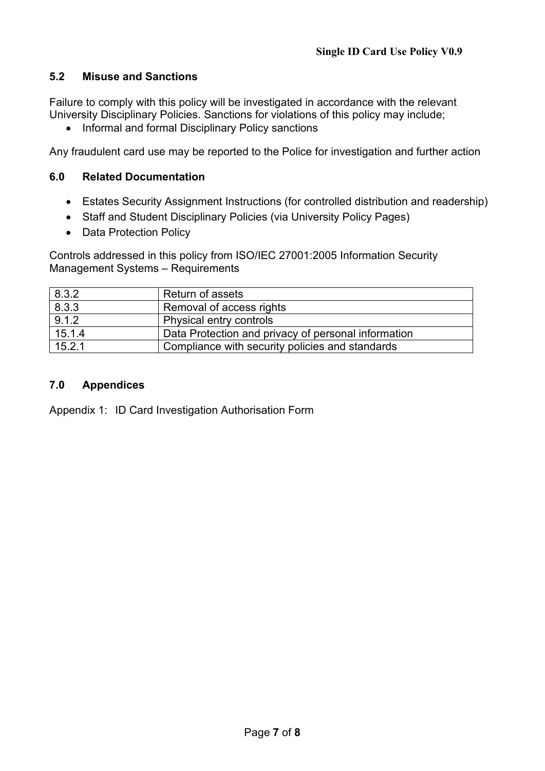# **5.2 Misuse and Sanctions**

Failure to comply with this policy will be investigated in accordance with the relevant University Disciplinary Policies. Sanctions for violations of this policy may include;

• Informal and formal Disciplinary Policy sanctions

Any fraudulent card use may be reported to the Police for investigation and further action

#### **6.0 Related Documentation**

- Estates Security Assignment Instructions (for controlled distribution and readership)
- Staff and Student Disciplinary Policies (via University Policy Pages)
- Data Protection Policy

Controls addressed in this policy from ISO/IEC 27001:2005 Information Security Management Systems – Requirements

| 8.3.2  | Return of assets                                    |  |
|--------|-----------------------------------------------------|--|
| 8.3.3  | Removal of access rights                            |  |
| 9.1.2  | <b>Physical entry controls</b>                      |  |
| 15.1.4 | Data Protection and privacy of personal information |  |
| 15.2.1 | Compliance with security policies and standards     |  |

## **7.0 Appendices**

Appendix 1: ID Card Investigation Authorisation Form